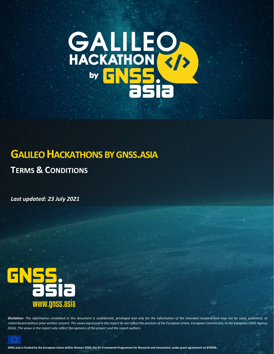

# **GALILEO HACKATHONS BY GNSS.ASIA**

**TERMS & CONDITIONS**

*Last updated: 23 July 2021*



*Disclaimer: The information contained in this document is confidential, privileged and only for the information of the intended recipient and may not be used, published, or redistributed without prior written consent. The views expressed in this report do not reflect the position of the European Union, European Commission, or the European GNSS Agency (GSA). The views in the report only reflect the opinions of the project and the report authors.*



**GNSS.asia is funded by the European Union within Horizon 2020, the EU Framework Programme for Research and Innovation, under grant agreement no 870296.**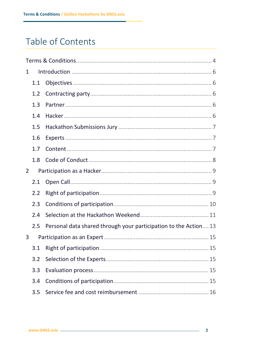# Table of Contents

| 1 |     |                                                                  |  |  |  |  |
|---|-----|------------------------------------------------------------------|--|--|--|--|
|   | 1.1 |                                                                  |  |  |  |  |
|   | 1.2 |                                                                  |  |  |  |  |
|   | 1.3 |                                                                  |  |  |  |  |
|   | 1.4 |                                                                  |  |  |  |  |
|   | 1.5 |                                                                  |  |  |  |  |
|   | 1.6 |                                                                  |  |  |  |  |
|   | 1.7 |                                                                  |  |  |  |  |
|   | 1.8 |                                                                  |  |  |  |  |
| 2 |     |                                                                  |  |  |  |  |
|   | 2.1 |                                                                  |  |  |  |  |
|   | 2.2 |                                                                  |  |  |  |  |
|   | 2.3 |                                                                  |  |  |  |  |
|   | 2.4 |                                                                  |  |  |  |  |
|   | 2.5 | Personal data shared through your participation to the Action 13 |  |  |  |  |
| 3 |     |                                                                  |  |  |  |  |
|   | 3.1 |                                                                  |  |  |  |  |
|   | 3.2 |                                                                  |  |  |  |  |
|   | 3.3 |                                                                  |  |  |  |  |
|   | 3.4 |                                                                  |  |  |  |  |
|   | 3.5 |                                                                  |  |  |  |  |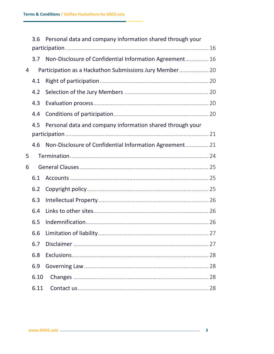|                | 3.6  | Personal data and company information shared through your |  |
|----------------|------|-----------------------------------------------------------|--|
|                |      |                                                           |  |
|                | 3.7  | Non-Disclosure of Confidential Information Agreement 16   |  |
| $\overline{4}$ |      | Participation as a Hackathon Submissions Jury Member 20   |  |
|                | 4.1  |                                                           |  |
|                | 4.2  |                                                           |  |
|                | 4.3  |                                                           |  |
|                | 4.4  |                                                           |  |
|                | 4.5  | Personal data and company information shared through your |  |
|                |      |                                                           |  |
|                | 4.6  | Non-Disclosure of Confidential Information Agreement 21   |  |
| 5              |      |                                                           |  |
| 6              |      |                                                           |  |
|                | 6.1  |                                                           |  |
|                | 6.2  |                                                           |  |
|                | 6.3  |                                                           |  |
|                | 6.4  |                                                           |  |
|                | 6.5  |                                                           |  |
|                | 6.6  |                                                           |  |
|                | 6.7  |                                                           |  |
|                | 6.8  |                                                           |  |
|                | 6.9  |                                                           |  |
|                | 6.10 |                                                           |  |
|                | 6.11 |                                                           |  |

 $\mathbf{r}$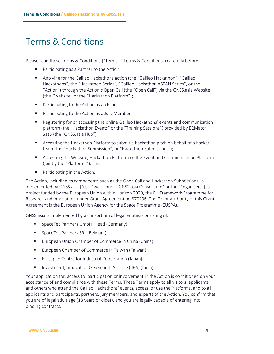# <span id="page-3-0"></span>Terms & Conditions

Please read these Terms & Conditions ("Terms", "Terms & Conditions") carefully before:

- Participating as a Partner to the Action.
- Applying for the Galileo Hackathons action (the "Galileo Hackathon", "Galileo Hackathons", the "Hackathon Series", "Galileo Hackathon ASEAN Series", or the "Action") through the Action's Open Call (the "Open Call") via the GNSS.asia Website (the "Website" or the "Hackathon Platform");
- Participating to the Action as an Expert
- Participating to the Action as a Jury Member
- Registering for or accessing the online Galileo Hackathons' events and communication platform (the "Hackathon Events" or the "Training Sessions") provided by B2Match SaaS (the "GNSS.asia Hub").
- Accessing the Hackathon Platform to submit a hackathon pitch on behalf of a hacker team (the "Hackathon Submission", or "Hackathon Submissions");
- Accessing the Website, Hackathon Platform or the Event and Communication Platform (jointly the "Platforms"); and
- Participating in the Action.

The Action, including its components such as the Open Call and Hackathon Submissions, is implemented by GNSS.asia ("us", "we", "our", "GNSS.asia Consortium" or the "Organisers"), a project funded by the European Union within Horizon 2020, the EU Framework Programme for Research and Innovation, under Grant Agreement no 870296. The Grant Authority of this Grant Agreement is the European Union Agency for the Space Programme (EUSPA).

GNSS.asia is implemented by a consortium of legal entities consisting of:

- SpaceTec Partners GmbH lead (Germany)
- SpaceTec Partners SRL (Belgium)
- European Union Chamber of Commerce in China (China)
- European Chamber of Commerce in Taiwan (Taiwan)
- EU-Japan Centre for Industrial Cooperation (Japan)
- Investment, Innovation & Research Alliance (IIRA) (India)

Your application for, access to, participation or involvement in the Action is conditioned on your acceptance of and compliance with these Terms. These Terms apply to all visitors, applicants and others who attend the Galileo Hackathons' events, access, or use the Platforms, and to all applicants and participants, partners, jury members, and experts of the Action. You confirm that you are of legal adult age (18 years or older), and you are legally capable of entering into binding contracts.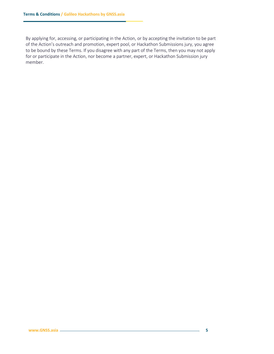By applying for, accessing, or participating in the Action, or by accepting the invitation to be part of the Action's outreach and promotion, expert pool, or Hackathon Submissions jury, you agree to be bound by these Terms. If you disagree with any part of the Terms, then you may not apply for or participate in the Action, nor become a partner, expert, or Hackathon Submission jury member.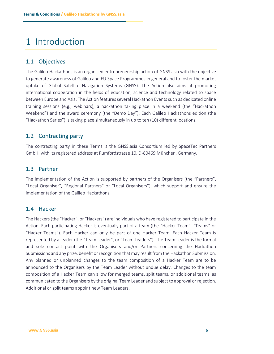# <span id="page-5-0"></span>1 Introduction

## <span id="page-5-1"></span>1.1 Objectives

The Galileo Hackathons is an organised entrepreneurship action of GNSS.asia with the objective to generate awareness of Galileo and EU Space Programmes in general and to foster the market uptake of Global Satellite Navigation Systems (GNSS). The Action also aims at promoting international cooperation in the fields of education, science and technology related to space between Europe and Asia. The Action features several Hackathon Events such as dedicated online training sessions (e.g., webinars), a hackathon taking place in a weekend (the "Hackathon Weekend") and the award ceremony (the "Demo Day"). Each Galileo Hackathons edition (the "Hackathon Series") is taking place simultaneously in up to ten (10) different locations.

## <span id="page-5-2"></span>1.2 Contracting party

The contracting party in these Terms is the GNSS.asia Consortium led by SpaceTec Partners GmbH, with its registered address at Rumfordstrasse 10, D-80469 München, Germany.

## <span id="page-5-3"></span>1.3 Partner

The implementation of the Action is supported by partners of the Organisers (the "Partners", "Local Organiser", "Regional Partners" or "Local Organisers"), which support and ensure the implementation of the Galileo Hackathons.

## <span id="page-5-4"></span>1.4 Hacker

The Hackers (the "Hacker", or "Hackers") are individuals who have registered to participate in the Action. Each participating Hacker is eventually part of a team (the "Hacker Team", "Teams" or "Hacker Teams"). Each Hacker can only be part of one Hacker Team. Each Hacker Team is represented by a leader (the "Team Leader", or "Team Leaders"). The Team Leader is the formal and sole contact point with the Organisers and/or Partners concerning the Hackathon Submissions and any prize, benefit or recognition that may result from the Hackathon Submission. Any planned or unplanned changes to the team composition of a Hacker Team are to be announced to the Organisers by the Team Leader without undue delay. Changes to the team composition of a Hacker Team can allow for merged teams, split teams, or additional teams, as communicated to the Organisers by the original Team Leader and subject to approval or rejection. Additional or split teams appoint new Team Leaders.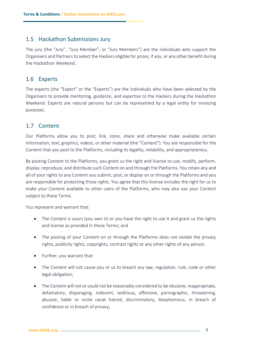### <span id="page-6-0"></span>1.5 Hackathon Submissions Jury

The jury (the "Jury", "Jury Member", or "Jury Members") are the individuals who support the Organisers and Partners to select the Hackers eligible for prizes, if any, or any other benefit during the Hackathon Weekend.

### <span id="page-6-1"></span>1.6 Experts

The experts (the "Expert" or the "Experts") are the individuals who have been selected by the Organisers to provide mentoring, guidance, and expertise to the Hackers during the Hackathon Weekend. Experts are natural persons but can be represented by a legal entity for invoicing purposes.

## <span id="page-6-2"></span>1.7 Content

Our Platforms allow you to post, link, store, share and otherwise make available certain information, text, graphics, videos, or other material (the "Content"). You are responsible for the Content that you post to the Platforms, including its legality, reliability, and appropriateness.

By posting Content to the Platforms, you grant us the right and license to use, modify, perform, display, reproduce, and distribute such Content on and through the Platforms. You retain any and all of your rights to any Content you submit, post, or display on or through the Platforms and you are responsible for protecting those rights. You agree that this license includes the right for us to make your Content available to other users of the Platforms, who may also use your Content subject to these Terms.

You represent and warrant that:

- The Content is yours (you own it) or you have the right to use it and grant us the rights and license as provided in these Terms; and
- The posting of your Content on or through the Platforms does not violate the privacy rights, publicity rights, copyrights, contract rights or any other rights of any person.
- Further, you warrant that:
- The Content will not cause you or us to breach any law, regulation, rule, code or other legal obligation;
- The Content will not or could not be reasonably considered to be obscene, inappropriate, defamatory, disparaging, indecent, seditious, offensive, pornographic, threatening, abusive, liable to incite racial hatred, discriminatory, blasphemous, in breach of confidence or in breach of privacy;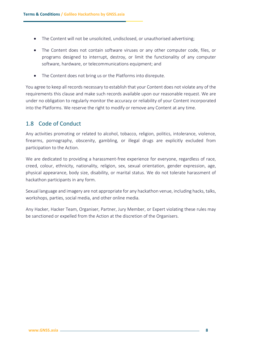- The Content will not be unsolicited, undisclosed, or unauthorised advertising;
- The Content does not contain software viruses or any other computer code, files, or programs designed to interrupt, destroy, or limit the functionality of any computer software, hardware, or telecommunications equipment; and
- The Content does not bring us or the Platforms into disrepute.

You agree to keep all records necessary to establish that your Content does not violate any of the requirements this clause and make such records available upon our reasonable request. We are under no obligation to regularly monitor the accuracy or reliability of your Content incorporated into the Platforms. We reserve the right to modify or remove any Content at any time.

## <span id="page-7-0"></span>1.8 Code of Conduct

Any activities promoting or related to alcohol, tobacco, religion, politics, intolerance, violence, firearms, pornography, obscenity, gambling, or illegal drugs are explicitly excluded from participation to the Action.

We are dedicated to providing a harassment-free experience for everyone, regardless of race, creed, colour, ethnicity, nationality, religion, sex, sexual orientation, gender expression, age, physical appearance, body size, disability, or marital status. We do not tolerate harassment of hackathon participants in any form.

Sexual language and imagery are not appropriate for any hackathon venue, including hacks, talks, workshops, parties, social media, and other online media.

Any Hacker, Hacker Team, Organiser, Partner, Jury Member, or Expert violating these rules may be sanctioned or expelled from the Action at the discretion of the Organisers.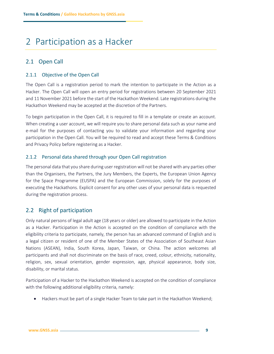# <span id="page-8-0"></span>2 Participation as a Hacker

## <span id="page-8-1"></span>2.1 Open Call

### 2.1.1 Objective of the Open Call

The Open Call is a registration period to mark the intention to participate in the Action as a Hacker. The Open Call will open an entry period for registrations between 20 September 2021 and 11 November 2021 before the start of the Hackathon Weekend. Late registrations during the Hackathon Weekend may be accepted at the discretion of the Partners.

To begin participation in the Open Call, it is required to fill in a template or create an account. When creating a user account, we will require you to share personal data such as your name and e-mail for the purposes of contacting you to validate your information and regarding your participation in the Open Call. You will be required to read and accept these Terms & Conditions and Privacy Policy before registering as a Hacker.

### 2.1.2 Personal data shared through your Open Call registration

The personal data that you share during user registration will not be shared with any parties other than the Organisers, the Partners, the Jury Members, the Experts, the European Union Agency for the Space Programme (EUSPA) and the European Commission, solely for the purposes of executing the Hackathons. Explicit consent for any other uses of your personal data is requested during the registration process.

## <span id="page-8-2"></span>2.2 Right of participation

Only natural persons of legal adult age (18 years or older) are allowed to participate in the Action as a Hacker. Participation in the Action is accepted on the condition of compliance with the eligibility criteria to participate, namely, the person has an advanced command of English and is a legal citizen or resident of one of the Member States of the Association of Southeast Asian Nations (ASEAN), India, South Korea, Japan, Taiwan, or China. The action welcomes all participants and shall not discriminate on the basis of race, creed, colour, ethnicity, nationality, religion, sex, sexual orientation, gender expression, age, physical appearance, body size, disability, or marital status.

Participation of a Hacker to the Hackathon Weekend is accepted on the condition of compliance with the following additional eligibility criteria, namely:

• Hackers must be part of a single Hacker Team to take part in the Hackathon Weekend;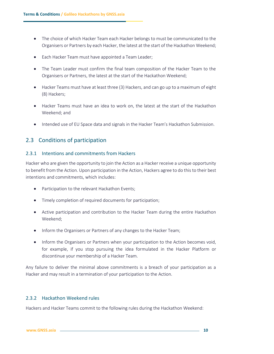- The choice of which Hacker Team each Hacker belongs to must be communicated to the Organisers or Partners by each Hacker, the latest at the start of the Hackathon Weekend;
- Each Hacker Team must have appointed a Team Leader;
- The Team Leader must confirm the final team composition of the Hacker Team to the Organisers or Partners, the latest at the start of the Hackathon Weekend;
- Hacker Teams must have at least three (3) Hackers, and can go up to a maximum of eight (8) Hackers;
- Hacker Teams must have an idea to work on, the latest at the start of the Hackathon Weekend; and
- Intended use of EU Space data and signals in the Hacker Team's Hackathon Submission.

## <span id="page-9-0"></span>2.3 Conditions of participation

#### 2.3.1 Intentions and commitments from Hackers

Hacker who are given the opportunity to join the Action as a Hacker receive a unique opportunity to benefit from the Action. Upon participation in the Action, Hackers agree to do this to their best intentions and commitments, which includes:

- Participation to the relevant Hackathon Events;
- Timely completion of required documents for participation;
- Active participation and contribution to the Hacker Team during the entire Hackathon Weekend;
- Inform the Organisers or Partners of any changes to the Hacker Team;
- Inform the Organisers or Partners when your participation to the Action becomes void, for example, if you stop pursuing the idea formulated in the Hacker Platform or discontinue your membership of a Hacker Team.

Any failure to deliver the minimal above commitments is a breach of your participation as a Hacker and may result in a termination of your participation to the Action.

### 2.3.2 Hackathon Weekend rules

Hackers and Hacker Teams commit to the following rules during the Hackathon Weekend: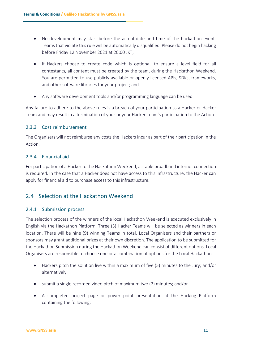- No development may start before the actual date and time of the hackathon event. Teams that violate this rule will be automatically disqualified. Please do not begin hacking before Friday 12 November 2021 at 20:00 JKT;
- If Hackers choose to create code which is optional, to ensure a level field for all contestants, all content must be created by the team, during the Hackathon Weekend. You are permitted to use publicly available or openly licensed APIs, SDKs, frameworks, and other software libraries for your project; and
- Any software development tools and/or programming language can be used.

Any failure to adhere to the above rules is a breach of your participation as a Hacker or Hacker Team and may result in a termination of your or your Hacker Team's participation to the Action.

#### 2.3.3 Cost reimbursement

The Organisers will not reimburse any costs the Hackers incur as part of their participation in the Action.

#### 2.3.4 Financial aid

For participation of a Hacker to the Hackathon Weekend, a stable broadband internet connection is required. In the case that a Hacker does not have access to this infrastructure, the Hacker can apply for financial aid to purchase access to this infrastructure.

## <span id="page-10-0"></span>2.4 Selection at the Hackathon Weekend

#### 2.4.1 Submission process

The selection process of the winners of the local Hackathon Weekend is executed exclusively in English via the Hackathon Platform. Three (3) Hacker Teams will be selected as winners in each location. There will be nine (9) winning Teams in total. Local Organisers and their partners or sponsors may grant additional prizes at their own discretion. The application to be submitted for the Hackathon Submission during the Hackathon Weekend can consist of different options. Local Organisers are responsible to choose one or a combination of options for the Local Hackathon.

- Hackers pitch the solution live within a maximum of five (5) minutes to the Jury; and/or alternatively
- submit a single recorded video pitch of maximum two (2) minutes; and/or
- A completed project page or power point presentation at the Hacking Platform containing the following: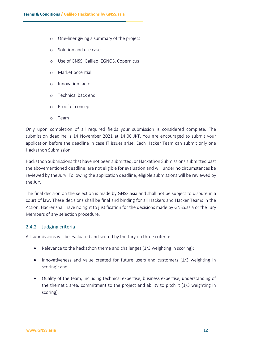- o One-liner giving a summary of the project
- o Solution and use case
- o Use of GNSS, Galileo, EGNOS, Copernicus
- o Market potential
- o Innovation factor
- o Technical back end
- o Proof of concept
- o Team

Only upon completion of all required fields your submission is considered complete. The submission deadline is 14 November 2021 at 14:00 JKT. You are encouraged to submit your application before the deadline in case IT issues arise. Each Hacker Team can submit only one Hackathon Submission.

Hackathon Submissions that have not been submitted, or Hackathon Submissions submitted past the abovementioned deadline, are not eligible for evaluation and will under no circumstances be reviewed by the Jury. Following the application deadline, eligible submissions will be reviewed by the Jury.

The final decision on the selection is made by GNSS.asia and shall not be subject to dispute in a court of law. These decisions shall be final and binding for all Hackers and Hacker Teams in the Action. Hacker shall have no right to justification for the decisions made by GNSS.asia or the Jury Members of any selection procedure.

#### 2.4.2 Judging criteria

All submissions will be evaluated and scored by the Jury on three criteria:

- Relevance to the hackathon theme and challenges (1/3 weighting in scoring);
- Innovativeness and value created for future users and customers (1/3 weighting in scoring); and
- Quality of the team, including technical expertise, business expertise, understanding of the thematic area, commitment to the project and ability to pitch it (1/3 weighting in scoring).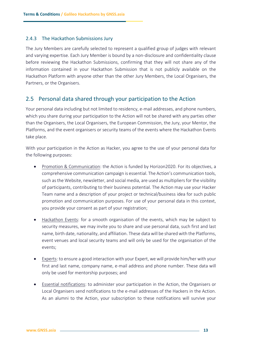#### 2.4.3 The Hackathon Submissions Jury

The Jury Members are carefully selected to represent a qualified group of judges with relevant and varying expertise. Each Jury Member is bound by a non-disclosure and confidentiality clause before reviewing the Hackathon Submissions, confirming that they will not share any of the information contained in your Hackathon Submission that is not publicly available on the Hackathon Platform with anyone other than the other Jury Members, the Local Organisers, the Partners, or the Organisers.

### <span id="page-12-0"></span>2.5 Personal data shared through your participation to the Action

Your personal data including but not limited to residency, e-mail addresses, and phone numbers, which you share during your participation to the Action will not be shared with any parties other than the Organisers, the Local Organisers, the European Commission, the Jury, your Mentor, the Platforms, and the event organisers or security teams of the events where the Hackathon Events take place.

With your participation in the Action as Hacker, you agree to the use of your personal data for the following purposes:

- Promotion & Communication: the Action is funded by Horizon2020. For its objectives, a comprehensive communication campaign is essential. The Action's communication tools, such as the Website, newsletter, and social media, are used as multipliers for the visibility of participants, contributing to their business potential. The Action may use your Hacker Team name and a description of your project or technical/business idea for such public promotion and communication purposes. For use of your personal data in this context, you provide your consent as part of your registration;
- Hackathon Events: for a smooth organisation of the events, which may be subject to security measures, we may invite you to share and use personal data, such first and last name, birth date, nationality, and affiliation. These data will be shared with the Platforms, event venues and local security teams and will only be used for the organisation of the events;
- Experts: to ensure a good interaction with your Expert, we will provide him/her with your first and last name, company name, e-mail address and phone number. These data will only be used for mentorship purposes; and
- Essential notifications: to administer your participation in the Action, the Organisers or Local Organisers send notifications to the e-mail addresses of the Hackers in the Action. As an alumni to the Action, your subscription to these notifications will survive your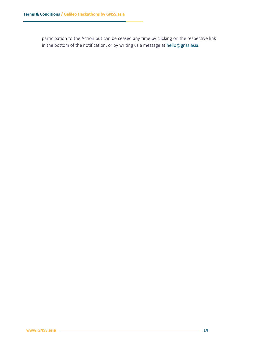participation to the Action but can be ceased any time by clicking on the respective link in the bottom of the notification, or by writing us a message at [hello@gnss.asia.](mailto:hello@gnss.asia)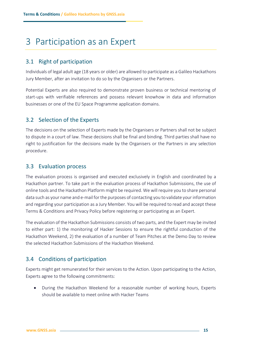# <span id="page-14-0"></span>3 Participation as an Expert

## <span id="page-14-1"></span>3.1 Right of participation

Individuals of legal adult age (18 years or older) are allowed to participate as a Galileo Hackathons Jury Member, after an invitation to do so by the Organisers or the Partners.

Potential Experts are also required to demonstrate proven business or technical mentoring of start-ups with verifiable references and possess relevant knowhow in data and information businesses or one of the EU Space Programme application domains.

## <span id="page-14-2"></span>3.2 Selection of the Experts

The decisions on the selection of Experts made by the Organisers or Partners shall not be subject to dispute in a court of law. These decisions shall be final and binding. Third parties shall have no right to justification for the decisions made by the Organisers or the Partners in any selection procedure.

## <span id="page-14-3"></span>3.3 Evaluation process

The evaluation process is organised and executed exclusively in English and coordinated by a Hackathon partner. To take part in the evaluation process of Hackathon Submissions, the use of online tools and the Hackathon Platform might be required. We will require you to share personal data such as your name and e-mail for the purposes of contacting you to validate your information and regarding your participation as a Jury Member. You will be required to read and accept these Terms & Conditions and Privacy Policy before registering or participating as an Expert.

The evaluation of the Hackathon Submissions consists of two parts, and the Expert may be invited to either part: 1) the monitoring of Hacker Sessions to ensure the rightful conduction of the Hackathon Weekend, 2) the evaluation of a number of Team Pitches at the Demo Day to review the selected Hackathon Submissions of the Hackathon Weekend.

# <span id="page-14-4"></span>3.4 Conditions of participation

Experts might get remunerated for their services to the Action. Upon participating to the Action, Experts agree to the following commitments:

• During the Hackathon Weekend for a reasonable number of working hours, Experts should be available to meet online with Hacker Teams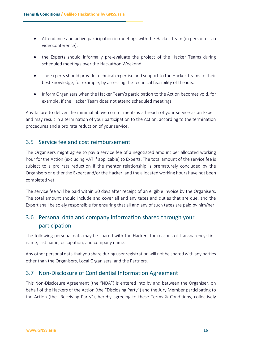- Attendance and active participation in meetings with the Hacker Team (in person or via videoconference);
- the Experts should informally pre-evaluate the project of the Hacker Teams during scheduled meetings over the Hackathon Weekend.
- The Experts should provide technical expertise and support to the Hacker Teams to their best knowledge, for example, by assessing the technical feasibility of the idea
- Inform Organisers when the Hacker Team's participation to the Action becomes void, for example, if the Hacker Team does not attend scheduled meetings

Any failure to deliver the minimal above commitments is a breach of your service as an Expert and may result in a termination of your participation to the Action, according to the termination procedures and a pro rata reduction of your service.

## <span id="page-15-0"></span>3.5 Service fee and cost reimbursement

The Organisers might agree to pay a service fee of a negotiated amount per allocated working hour for the Action (excluding VAT if applicable) to Experts. The total amount of the service fee is subject to a pro rata reduction if the mentor relationship is prematurely concluded by the Organisers or either the Expert and/or the Hacker, and the allocated working hours have not been completed yet.

The service fee will be paid within 30 days after receipt of an eligible invoice by the Organisers. The total amount should include and cover all and any taxes and duties that are due, and the Expert shall be solely responsible for ensuring that all and any of such taxes are paid by him/her.

# <span id="page-15-1"></span>3.6 Personal data and company information shared through your participation

The following personal data may be shared with the Hackers for reasons of transparency: first name, last name, occupation, and company name.

Any other personal data that you share during user registration will not be shared with any parties other than the Organisers, Local Organisers, and the Partners.

## <span id="page-15-2"></span>3.7 Non-Disclosure of Confidential Information Agreement

This Non-Disclosure Agreement (the "NDA") is entered into by and between the Organiser, on behalf of the Hackers of the Action (the "Disclosing Party") and the Jury Member participating to the Action (the "Receiving Party"), hereby agreeing to these Terms & Conditions, collectively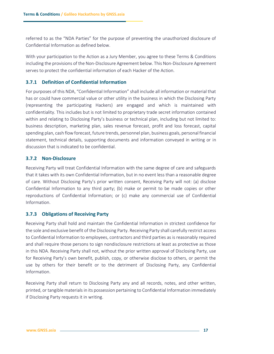referred to as the "NDA Parties" for the purpose of preventing the unauthorized disclosure of Confidential Information as defined below.

With your participation to the Action as a Jury Member, you agree to these Terms & Conditions including the provisions of the Non-Disclosure Agreement below. This Non-Disclosure Agreement serves to protect the confidential information of each Hacker of the Action.

#### **3.7.1 Definition of Confidential Information**

For purposes of this NDA, "Confidential Information" shall include all information or material that has or could have commercial value or other utility in the business in which the Disclosing Party (representing the participating Hackers) are engaged and which is maintained with confidentiality. This includes but is not limited to proprietary trade secret information contained within and relating to Disclosing Party's business or technical plan, including but not limited to: business description, marketing plan, sales revenue forecast, profit and loss forecast, capital spending plan, cash flow forecast, future trends, personnel plan, business goals, personal financial statement, technical details, supporting documents and information conveyed in writing or in discussion that is indicated to be confidential.

#### **3.7.2 Non-Disclosure**

Receiving Party will treat Confidential Information with the same degree of care and safeguards that it takes with its own Confidential Information, but in no event less than a reasonable degree of care. Without Disclosing Party's prior written consent, Receiving Party will not: (a) disclose Confidential Information to any third party; (b) make or permit to be made copies or other reproductions of Confidential Information; or (c) make any commercial use of Confidential Information.

#### **3.7.3 Obligations of Receiving Party**

Receiving Party shall hold and maintain the Confidential Information in strictest confidence for the sole and exclusive benefit of the Disclosing Party. Receiving Party shall carefully restrict access to Confidential Information to employees, contractors and third parties as is reasonably required and shall require those persons to sign nondisclosure restrictions at least as protective as those in this NDA. Receiving Party shall not, without the prior written approval of Disclosing Party, use for Receiving Party's own benefit, publish, copy, or otherwise disclose to others, or permit the use by others for their benefit or to the detriment of Disclosing Party, any Confidential Information.

Receiving Party shall return to Disclosing Party any and all records, notes, and other written, printed, or tangible materials in its possession pertaining to Confidential Information immediately if Disclosing Party requests it in writing.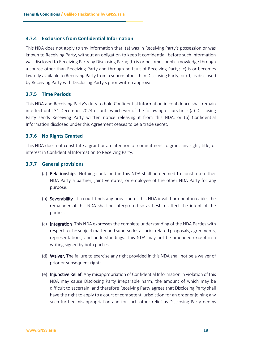#### **3.7.4 Exclusions from Confidential Information**

This NDA does not apply to any information that: (a) was in Receiving Party's possession or was known to Receiving Party, without an obligation to keep it confidential, before such information was disclosed to Receiving Party by Disclosing Party; (b) is or becomes public knowledge through a source other than Receiving Party and through no fault of Receiving Party; (c) is or becomes lawfully available to Receiving Party from a source other than Disclosing Party; or (d) is disclosed by Receiving Party with Disclosing Party's prior written approval.

#### **3.7.5 Time Periods**

This NDA and Receiving Party's duty to hold Confidential Information in confidence shall remain in effect until 31 December 2024 or until whichever of the following occurs first: (a) Disclosing Party sends Receiving Party written notice releasing it from this NDA, or (b) Confidential Information disclosed under this Agreement ceases to be a trade secret.

#### **3.7.6 No Rights Granted**

This NDA does not constitute a grant or an intention or commitment to grant any right, title, or interest in Confidential Information to Receiving Party.

#### **3.7.7 General provisions**

- (a) Relationships. Nothing contained in this NDA shall be deemed to constitute either NDA Party a partner, joint ventures, or employee of the other NDA Party for any purpose.
- (b) Severability. If a court finds any provision of this NDA invalid or unenforceable, the remainder of this NDA shall be interpreted so as best to affect the intent of the parties.
- (c) Integration. This NDA expresses the complete understanding of the NDA Parties with respect to the subject matter and supersedes all prior related proposals, agreements, representations, and understandings. This NDA may not be amended except in a writing signed by both parties.
- (d) Waiver. The failure to exercise any right provided in this NDA shall not be a waiver of prior or subsequent rights.
- (e) Injunctive Relief. Any misappropriation of Confidential Information in violation of this NDA may cause Disclosing Party irreparable harm, the amount of which may be difficult to ascertain, and therefore Receiving Party agrees that Disclosing Party shall have the right to apply to a court of competent jurisdiction for an order enjoining any such further misappropriation and for such other relief as Disclosing Party deems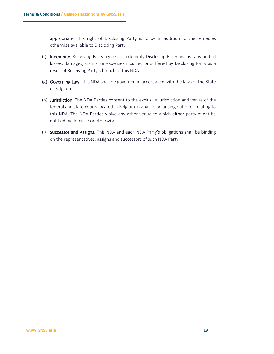appropriate. This right of Disclosing Party is to be in addition to the remedies otherwise available to Disclosing Party.

- (f) Indemnity. Receiving Party agrees to indemnify Disclosing Party against any and all losses, damages, claims, or expenses incurred or suffered by Disclosing Party as a result of Receiving Party's breach of this NDA.
- (g) Governing Law. This NDA shall be governed in accordance with the laws of the State of Belgium.
- (h) Jurisdiction. The NDA Parties consent to the exclusive jurisdiction and venue of the federal and state courts located in Belgium in any action arising out of or relating to this NDA. The NDA Parties waive any other venue to which either party might be entitled by domicile or otherwise.
- (i) Successor and Assigns. This NDA and each NDA Party's obligations shall be binding on the representatives, assigns and successors of such NDA Party.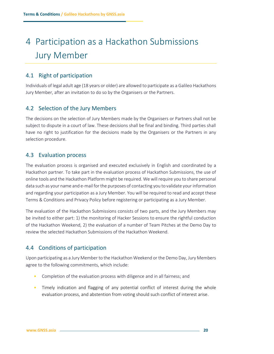# <span id="page-19-0"></span>4 Participation as a Hackathon Submissions Jury Member

## <span id="page-19-1"></span>4.1 Right of participation

Individuals of legal adult age (18 years or older) are allowed to participate as a Galileo Hackathons Jury Member, after an invitation to do so by the Organisers or the Partners.

## <span id="page-19-2"></span>4.2 Selection of the Jury Members

The decisions on the selection of Jury Members made by the Organisers or Partners shall not be subject to dispute in a court of law. These decisions shall be final and binding. Third parties shall have no right to justification for the decisions made by the Organisers or the Partners in any selection procedure.

## <span id="page-19-3"></span>4.3 Evaluation process

The evaluation process is organised and executed exclusively in English and coordinated by a Hackathon partner. To take part in the evaluation process of Hackathon Submissions, the use of online tools and the Hackathon Platform might be required. We will require you to share personal data such as your name and e-mail for the purposes of contacting you to validate your information and regarding your participation as a Jury Member. You will be required to read and accept these Terms & Conditions and Privacy Policy before registering or participating as a Jury Member.

The evaluation of the Hackathon Submissions consists of two parts, and the Jury Members may be invited to either part: 1) the monitoring of Hacker Sessions to ensure the rightful conduction of the Hackathon Weekend, 2) the evaluation of a number of Team Pitches at the Demo Day to review the selected Hackathon Submissions of the Hackathon Weekend.

## <span id="page-19-4"></span>4.4 Conditions of participation

Upon participating as a Jury Member to the Hackathon Weekend or the Demo Day, Jury Members agree to the following commitments, which include:

- Completion of the evaluation process with diligence and in all fairness; and
- Timely indication and flagging of any potential conflict of interest during the whole evaluation process, and abstention from voting should such conflict of interest arise.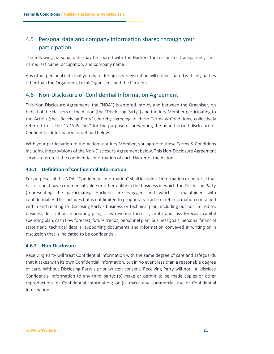# <span id="page-20-0"></span>4.5 Personal data and company information shared through your participation

The following personal data may be shared with the Hackers for reasons of transparency: first name, last name, occupation, and company name.

Any other personal data that you share during user registration will not be shared with any parties other than the Organisers, Local Organisers, and the Partners.

### <span id="page-20-1"></span>4.6 Non-Disclosure of Confidential Information Agreement

This Non-Disclosure Agreement (the "NDA") is entered into by and between the Organiser, on behalf of the Hackers of the Action (the "Disclosing Party") and the Jury Member participating to the Action (the "Receiving Party"), hereby agreeing to these Terms & Conditions, collectively referred to as the "NDA Parties" for the purpose of preventing the unauthorized disclosure of Confidential Information as defined below.

With your participation to the Action as a Jury Member, you agree to these Terms & Conditions including the provisions of the Non-Disclosure Agreement below. This Non-Disclosure Agreement serves to protect the confidential information of each Hacker of the Action.

#### **4.6.1 Definition of Confidential Information**

For purposes of this NDA, "Confidential Information" shall include all information or material that has or could have commercial value or other utility in the business in which the Disclosing Party (representing the participating Hackers) are engaged and which is maintained with confidentiality. This includes but is not limited to proprietary trade secret information contained within and relating to Disclosing Party's business or technical plan, including but not limited to: business description, marketing plan, sales revenue forecast, profit and loss forecast, capital spending plan, cash flow forecast, future trends, personnel plan, business goals, personal financial statement, technical details, supporting documents and information conveyed in writing or in discussion that is indicated to be confidential.

#### **4.6.2 Non-Disclosure**

Receiving Party will treat Confidential Information with the same degree of care and safeguards that it takes with its own Confidential Information, but in no event less than a reasonable degree of care. Without Disclosing Party's prior written consent, Receiving Party will not: (a) disclose Confidential Information to any third party; (b) make or permit to be made copies or other reproductions of Confidential Information; or (c) make any commercial use of Confidential Information.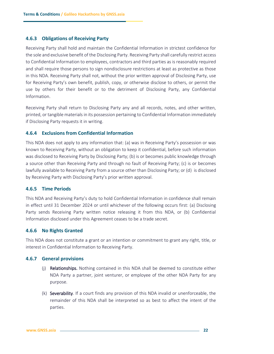#### **4.6.3 Obligations of Receiving Party**

Receiving Party shall hold and maintain the Confidential Information in strictest confidence for the sole and exclusive benefit of the Disclosing Party. Receiving Party shall carefully restrict access to Confidential Information to employees, contractors and third parties as is reasonably required and shall require those persons to sign nondisclosure restrictions at least as protective as those in this NDA. Receiving Party shall not, without the prior written approval of Disclosing Party, use for Receiving Party's own benefit, publish, copy, or otherwise disclose to others, or permit the use by others for their benefit or to the detriment of Disclosing Party, any Confidential Information.

Receiving Party shall return to Disclosing Party any and all records, notes, and other written, printed, or tangible materials in its possession pertaining to Confidential Information immediately if Disclosing Party requests it in writing.

#### **4.6.4 Exclusions from Confidential Information**

This NDA does not apply to any information that: (a) was in Receiving Party's possession or was known to Receiving Party, without an obligation to keep it confidential, before such information was disclosed to Receiving Party by Disclosing Party; (b) is or becomes public knowledge through a source other than Receiving Party and through no fault of Receiving Party; (c) is or becomes lawfully available to Receiving Party from a source other than Disclosing Party; or (d) is disclosed by Receiving Party with Disclosing Party's prior written approval.

#### **4.6.5 Time Periods**

This NDA and Receiving Party's duty to hold Confidential Information in confidence shall remain in effect until 31 December 2024 or until whichever of the following occurs first: (a) Disclosing Party sends Receiving Party written notice releasing it from this NDA, or (b) Confidential Information disclosed under this Agreement ceases to be a trade secret.

#### **4.6.6 No Rights Granted**

This NDA does not constitute a grant or an intention or commitment to grant any right, title, or interest in Confidential Information to Receiving Party.

#### **4.6.7 General provisions**

- (j) Relationships. Nothing contained in this NDA shall be deemed to constitute either NDA Party a partner, joint venturer, or employee of the other NDA Party for any purpose.
- (k) Severability. If a court finds any provision of this NDA invalid or unenforceable, the remainder of this NDA shall be interpreted so as best to affect the intent of the parties.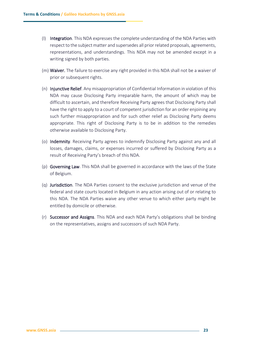- (l) Integration. This NDA expresses the complete understanding of the NDA Parties with respect to the subject matter and supersedes all prior related proposals, agreements, representations, and understandings. This NDA may not be amended except in a writing signed by both parties.
- (m) **Waiver.** The failure to exercise any right provided in this NDA shall not be a waiver of prior or subsequent rights.
- (n) Injunctive Relief. Any misappropriation of Confidential Information in violation of this NDA may cause Disclosing Party irreparable harm, the amount of which may be difficult to ascertain, and therefore Receiving Party agrees that Disclosing Party shall have the right to apply to a court of competent jurisdiction for an order enjoining any such further misappropriation and for such other relief as Disclosing Party deems appropriate. This right of Disclosing Party is to be in addition to the remedies otherwise available to Disclosing Party.
- (o) Indemnity. Receiving Party agrees to indemnify Disclosing Party against any and all losses, damages, claims, or expenses incurred or suffered by Disclosing Party as a result of Receiving Party's breach of this NDA.
- (p) Governing Law. This NDA shall be governed in accordance with the laws of the State of Belgium.
- (q) Jurisdiction. The NDA Parties consent to the exclusive jurisdiction and venue of the federal and state courts located in Belgium in any action arising out of or relating to this NDA. The NDA Parties waive any other venue to which either party might be entitled by domicile or otherwise.
- (r) Successor and Assigns. This NDA and each NDA Party's obligations shall be binding on the representatives, assigns and successors of such NDA Party.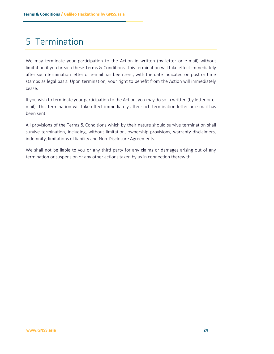# <span id="page-23-0"></span>5 Termination

We may terminate your participation to the Action in written (by letter or e-mail) without limitation if you breach these Terms & Conditions. This termination will take effect immediately after such termination letter or e-mail has been sent, with the date indicated on post or time stamps as legal basis. Upon termination, your right to benefit from the Action will immediately cease.

If you wish to terminate your participation to the Action, you may do so in written (by letter or email). This termination will take effect immediately after such termination letter or e-mail has been sent.

All provisions of the Terms & Conditions which by their nature should survive termination shall survive termination, including, without limitation, ownership provisions, warranty disclaimers, indemnity, limitations of liability and Non-Disclosure Agreements.

We shall not be liable to you or any third party for any claims or damages arising out of any termination or suspension or any other actions taken by us in connection therewith.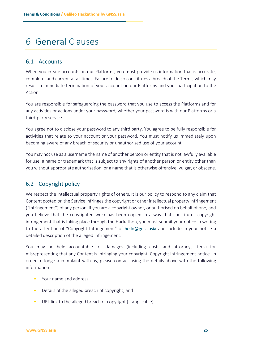# <span id="page-24-0"></span>6 General Clauses

## <span id="page-24-1"></span>6.1 Accounts

When you create accounts on our Platforms, you must provide us information that is accurate, complete, and current at all times. Failure to do so constitutes a breach of the Terms, which may result in immediate termination of your account on our Platforms and your participation to the Action.

You are responsible for safeguarding the password that you use to access the Platforms and for any activities or actions under your password, whether your password is with our Platforms or a third-party service.

You agree not to disclose your password to any third party. You agree to be fully responsible for activities that relate to your account or your password. You must notify us immediately upon becoming aware of any breach of security or unauthorised use of your account.

You may not use as a username the name of another person or entity that is not lawfully available for use, a name or trademark that is subject to any rights of another person or entity other than you without appropriate authorisation, or a name that is otherwise offensive, vulgar, or obscene.

## <span id="page-24-2"></span>6.2 Copyright policy

We respect the intellectual property rights of others. It is our policy to respond to any claim that Content posted on the Service infringes the copyright or other intellectual property infringement ("Infringement") of any person. If you are a copyright owner, or authorised on behalf of one, and you believe that the copyrighted work has been copied in a way that constitutes copyright infringement that is taking place through the Hackathon, you must submit your notice in writing to the attention of "Copyright Infringement" of [hello@gnss.asia](mailto:hello@gnss.asia) and include in your notice a detailed description of the alleged Infringement.

You may be held accountable for damages (including costs and attorneys' fees) for misrepresenting that any Content is infringing your copyright. Copyright infringement notice. In order to lodge a complaint with us, please contact using the details above with the following information:

- Your name and address;
- Details of the alleged breach of copyright; and
- URL link to the alleged breach of copyright (if applicable).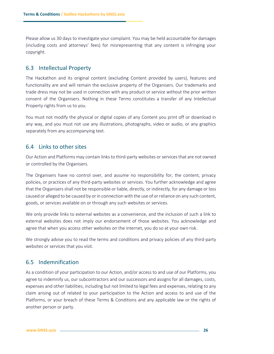Please allow us 30 days to investigate your complaint. You may be held accountable for damages (including costs and attorneys' fees) for misrepresenting that any content is infringing your copyright.

### <span id="page-25-0"></span>6.3 Intellectual Property

The Hackathon and its original content (excluding Content provided by users), features and functionality are and will remain the exclusive property of the Organisers. Our trademarks and trade dress may not be used in connection with any product or service without the prior written consent of the Organisers. Nothing in these Terms constitutes a transfer of any Intellectual Property rights from us to you.

You must not modify the physical or digital copies of any Content you print off or download in any way, and you must not use any illustrations, photographs, video or audio, or any graphics separately from any accompanying text.

## <span id="page-25-1"></span>6.4 Links to other sites

Our Action and Platforms may contain links to third-party websites or services that are not owned or controlled by the Organisers.

The Organisers have no control over, and assume no responsibility for, the content, privacy policies, or practices of any third-party websites or services. You further acknowledge and agree that the Organisers shall not be responsible or liable, directly, or indirectly, for any damage or loss caused or alleged to be caused by or in connection with the use of or reliance on any such content, goods, or services available on or through any such websites or services.

We only provide links to external websites as a convenience, and the inclusion of such a link to external websites does not imply our endorsement of those websites. You acknowledge and agree that when you access other websites on the internet, you do so at your own risk.

We strongly advise you to read the terms and conditions and privacy policies of any third-party websites or services that you visit.

## <span id="page-25-2"></span>6.5 Indemnification

As a condition of your participation to our Action, and/or access to and use of our Platforms, you agree to indemnify us, our subcontractors and our successors and assigns for all damages, costs, expenses and other liabilities, including but not limited to legal fees and expenses, relating to any claim arising out of related to your participation to the Action and access to and use of the Platforms, or your breach of these Terms & Conditions and any applicable law or the rights of another person or party.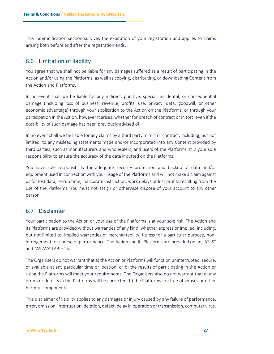This indemnification section survives the expiration of your registration and applies to claims arising both before and after the registration ends.

## <span id="page-26-0"></span>6.6 Limitation of liability

You agree that we shall not be liable for any damages suffered as a result of participating in the Action and/or using the Platforms, as well as copying, distributing, or downloading Content from the Action and Platforms.

In no event shall we be liable for any indirect, punitive, special, incidental, or consequential damage (including loss of business, revenue, profits, use, privacy, data, goodwill, or other economic advantage) through your application to the Action on the Platforms, or through your participation in the Action, however it arises, whether for breach of contract or in tort, even if the possibility of such damage has been previously advised of.

In no event shall we be liable for any claims by a third party in tort or contract, including, but not limited, to any misleading statements made and/or incorporated into any Content provided by third parties, such as manufacturers and wholesalers, and users of the Platforms. It is your sole responsibility to ensure the accuracy of the data inputted on the Platforms.

You have sole responsibility for adequate security protection and backup of data and/or equipment used in connection with your usage of the Platforms and will not make a claim against us for lost data, re-run time, inaccurate instruction, work delays or lost profits resulting from the use of the Platforms. You must not assign or otherwise dispose of your account to any other person.

## <span id="page-26-1"></span>6.7 Disclaimer

Your participation to the Action or your use of the Platforms is at your sole risk. The Action and its Platforms are provided without warranties of any kind, whether express or implied, including, but not limited to, implied warranties of merchantability, fitness for a particular purpose, noninfringement, or course of performance. The Action and its Platforms are provided on an "AS IS" and "AS AVAILABLE" basis.

The Organisers do not warrant that a) the Action or Platforms will function uninterrupted, secure, or available at any particular time or location; or b) the results of participating in the Action or using the Platforms will meet your requirements. The Organisers also do not warrant that a) any errors or defects in the Platforms will be corrected; b) the Platforms are free of viruses or other harmful components.

This disclaimer of liability applies to any damages or injury caused by any failure of performance, error, omission, interruption, deletion, defect, delay in operation or transmission, computer virus,